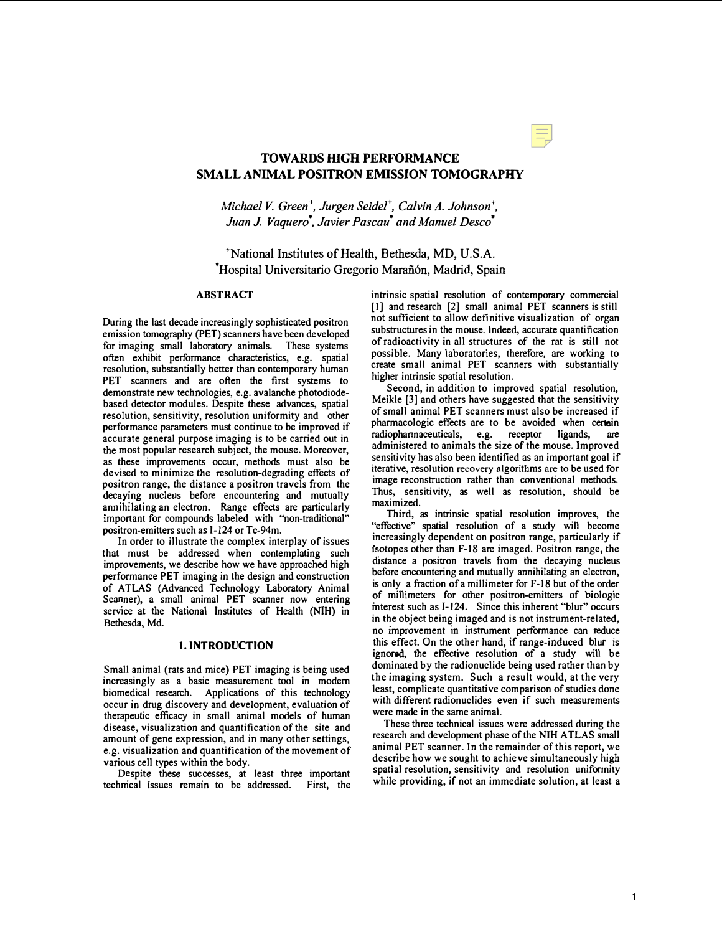# TOWARDS HIGH PERFORMANCE SMALL ANIMAL POSITRON EMISSION TOMOGRAPHY

Michael V. Green<sup>+</sup>, Jurgen Seidel<sup>+</sup>, Calvin A. Johnson<sup>+</sup>, Juan J. Vaquero', Javier Pascau' and Manuel Desco'

+National Institutes of Health, Bethesda, MD, U.S.A. Hospital Universitario Gregorio Marañón, Madrid, Spain

# ABSTRACT

During the last decade increasingly sophisticated positron emission tomography (PET) scanners have been developed for imaging small laboratory animals. These systems often exhibit performance characteristics, e.g. spatial resolution, substantially better than contemporary human PET scanners and are often the first systems to demonstrate new technologies, e.g. avalanche photodiodebased detector modules. Despite these advances, spatial resolution, sensitivity, resolution uniformity and other performance parameters must continue to be improved if accurate general purpose imaging is to be carried out in the most popular research subject, the mouse. Moreover. as these improvements occur, methods must also be devised to minimize the resolution-degrading effects of positron range, the distance a positron travels from the decaying nucleus before encountering and mutually annihilating an electron. Range effects are particularly important for compounds labeled with "non-traditional" positron-emitters such as 1-124 or Tc-94m.

In order to illustrate the complex interplay of issues that must be addressed when contemplating such improvements, we describe how we have approached high performance PET imaging in the design and construction of ATLAS (Advanced Technology Laboratory Animal Scanner), a small animal PET scanner now entering service at the National Institutes of Health (NIH) in Bethesda, Md.

#### 1. INTRODUCTION

Small animal (rats and mice) PET imaging is being used increasingly as a basic measurement tool in modern biomedical research. Applications of this technology occur in drug discovery and development, evaluation of therapeutic efficacy in small animal models of human disease, visualization and quantification of the site and amount of gene expression, and in many other settings e.g. visualization and quantification of the movement of various cell types within the body.

Despite these successes, at least three important . techmcal Issues remam to be addressed. First, the intrinsic spatial resolution of contemporary commercial [1] and research [2] small animal PET scanners is still not sufficient to allow definitive visualization of organ substructures in the mouse. Indeed, accurate quantification of radioactivity in all structures of the rat is still not possible. Many laboratories, therefore, are working to create small animal PET scanners with substantially higher intrinsic spatial resolution.

. Second, in addition to improved spatial resolution, Meikle [3] and others have suggested that the sensitivity of small animal PET scanners must also be increased if pharmacologic effects are to be avoided when certain radiophannaceuticals, e.g. receptor ligands, are administered to animals the size of the mouse. Improved sensitivity has also been identified as an important goal if iterative, resolution recovery algorithms are to be used for image reconstruction rather than conventional methods. Thus, sensitivity, as well as resolution, should be maximized.

Third, as intrinsic spatial resolution improves, the "effective" spatial resolution of a study will become increasingly dependent on positron range, particularly if isotopes other than F-18 are imaged. Positron range, the distance a positron travels from the decaying nucleus before encountering and mutually annihilating an electron, is only a fraction of a millimeter for F-18 but of the order of millimeters for other positron-emitters of biologic mterest such as [-124. Since this inherent "blur" occurs in the object being imaged and is not instrument-related, In the edgeet comg imaged and to not med amont related, this effect. On the other hand, if range-induced blur is ignored, the effective resolution of a study will be dominated by the radionuclide being used rather than by the imaging system. Such a result would, at the very least, complicate quantitative comparison of studies done with different radionuclides even if such measurements were made in the same animal.

These three technical issues were addressed during the research and development phase of the NIH ATLAS small animal PET scanner. In the remainder of this report, we describe how we sought to achieve simultaneously high spatial resolution, sensitivity and resolution unifonnity while providing, if not an immediate solution, at least a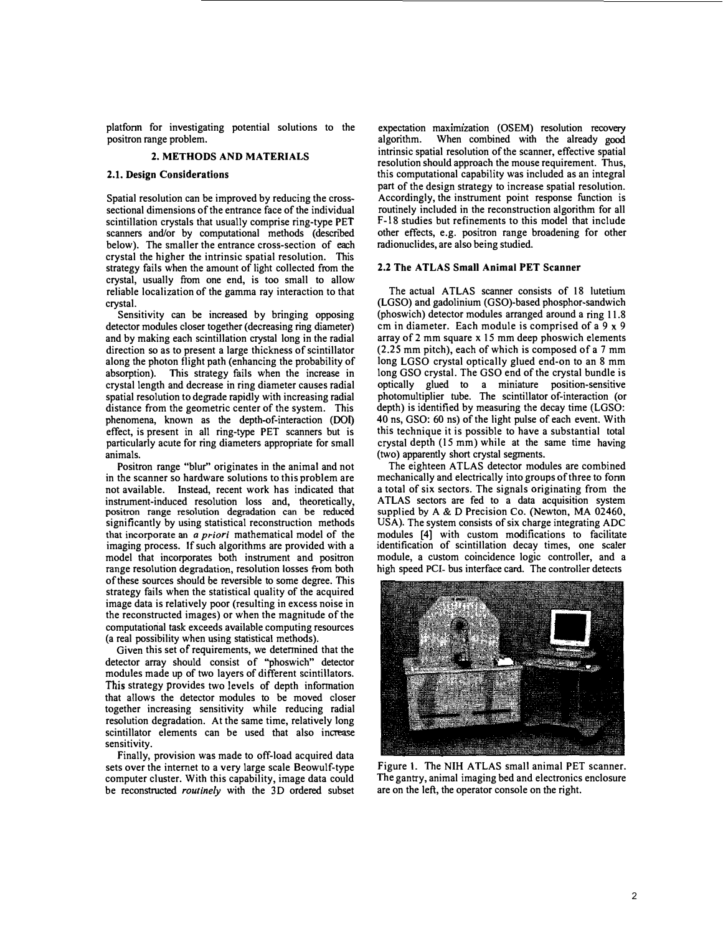platfonn for investigating potential solutions to the positron range problem.

# 2. METHODS AND MATERIALS

# 2.1. Design Considerations

Spatial resolution can be improved by reducing the crosssectional dimensions of the entrance face of the individual scintillation crystals that usually comprise ring-type PET scanners and/or by computational methods (described below). The smaller the entrance cross-section of each crystal the higher the intrinsic spatial resolution. This strategy fails when the amount of light collected from the crystal, usually from one end, is too small to allow reliable localization of the gamma ray interaction to that crystal.

Sensitivity can be increased by bringing opposing detector modules closer together (decreasing ring diameter) and by making each scintillation crystal long in the radial direction so as to present a large thickness of scintillator along the photon flight path (enhancing the probability of absorption). This strategy fails when the increase in crystal length and decrease in ring diameter causes radial spatial resolution to degrade rapidly with increasing radial distance from the geometric center of the system. This phenomena, known as the depth-of-interaction (DOI) effect, is present in all ring-type PET scanners but is particularly acute for ring diameters appropriate for small animals.

Positron range "blur" originates in the animal and not in the scanner so hardware solutions to this problem are not available. Instead, recent work has indicated that instrument-induced resolution loss and, theoretically, positron range resolution degradation can be reduced significantly by using statistical reconstruction methods that incorporate an a priori mathematical model of the imaging process. If such algorithms are provided with a model that incorporates both instrument and positron range resolution degradation, resolution losses from both of these sources should be reversible to some degree. This strategy fails when the statistical quality of the acquired image data is relatively poor (resulting in excess noise in the reconstructed images) or when the magnitude of the computatiorial task exceeds available computing resources (a real possibility when using statistical methods).

Given this set of requirements, we determined that the detector array should consist of "phoswich" detector modules made up of two layers of different scintillators. This strategy provides two levels of depth information that allows the detector modules to be moved closer together increasing sensitivity while reducing radial resolution degradation. At the same time, relatively long scintillator elements can be used that also increase sensitivity.

Finally, provision was made to off-load acquired data sets over the internet to a very large scale Beowulf-type computer cluster. With this capability, image data could be reconstructed routinely with the 3D ordered subset

expectation maximization (OSEM) resolution recovery algorithm. When combined with the already good intrinsic spatial resolution of the scanner, effective spatial resolution should approach the mouse requirement. Thus, this computational capability was included as an integral part of the design strategy to increase spatial resolution. Accordingly, the instrument point response function is routinely included in the reconstruction algorithm for all F-18 studies but refinements to this model that include other effects, e.g. positron range broadening for other radionuclides, are also being studied.

# 2.2 The ATLAS Small Animal PET Scanner

The actual ATLAS scanner consists of 18 lutetium (LGSO) and gadolinium (GSO)-based phosphor-sandwich (phoswich) detector modules arranged around a ring 11.8 cm in diameter. Each module is comprised of a 9 x 9 array of 2 mm square x 15 mm deep phoswich elements (2.25 mm pitch), each of which is composed of a 7 mm long LGSO crystal optically glued end-on to an 8 mm long GSO crystal. The GSO end of the crystal bundle is optically glued to a miniature position-sensitive photomultiplier tube. The scintillator of-interaction (or depth) is identified by measuring the decay time (LGSO: 40 ns, GSO: 60 ns) of the light pulse of each event. With this technique it is possible to have a substantial total crystal depth (I5 mm) while at the same time having (two) apparently short crystal segments.

The eighteen ATLAS detector modules are combined mechanically and electrically into groups of three to fonn a total of six sectors. The signals Originating from the ATLAS sectors are fed to a data acquisition system supplied by A & D Precision Co. (Newton, MA 02460, USA). The system consists of six charge integrating ADC modules [4] with custom modifications to facilitate identification of scintillation decay times, one scaler module, a custom coincidence logic controller, and a high speed PCI- bus interface card. The controller detects



Figure 1. The NIH ATLAS small animal PET scanner. The gantry, animal imaging bed and electronics enclosure are on the left, the operator console on the right.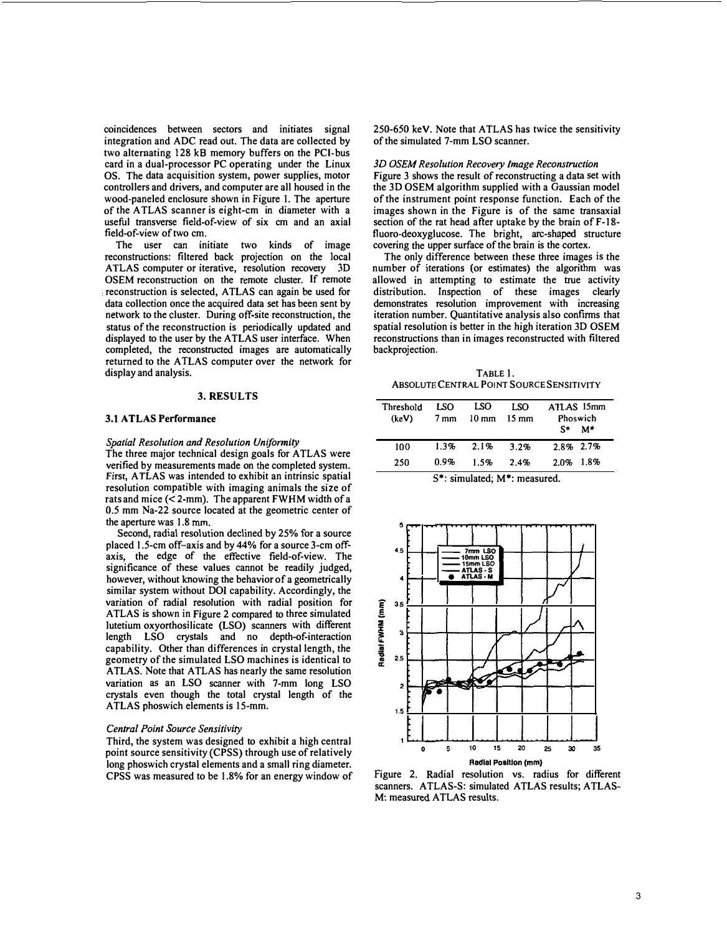<span id="page-2-0"></span>coincidences between sectors and initiates signal integration and ADC read out. The data are collected by two alternating 128 kB memory buffers on the PCI-bus card in a dual-processor PC operating under the Linux OS. The data acquisition system, power supplies, motor controllers and drivers, and computer are all housed in the wood-paneled enclosure shown in Figure I. The aperture of the A TLAS scanner is eight-cm in diameter with a useful transverse field-of-view of six cm and an axial field-of-view of two cm.

The user can initiate two kinds of image reconstructions: filtered back projection on the local ATLAS computer or iterative, resolution recovery 3D OSEM reconstruction on the remote cluster. If remote reconstruction is selected, ATLAS can again be used for data collection once the acquired data set has been sent by network to the cluster. During off-site reconstruction, the status of the reconstruction is periodically updated and displayed to the user by the ATLAS user interface. When completed, the reconstructed images are automatically returned to the ATLAS computer over the network for display and analysis.

## 3. RESULTS

#### 3.1 ATLAS Performance

#### Spatial Resolution and Resolution Uniformity

The three major technical design goals for ATLAS were verified by measurements made on the completed system. First, A TLAS was intended to exhibit an intrinsic spatial resolution compatible with imaging animals the size of rats and mice  $($  < 2-mm). The apparent FWHM width of a 0.5 mm Na-22 source located at the geometric center of the aperture was 1.8 mm.

Second, radial resolution declined by 25% for a source placed 1.5-cm off-axis and by 44% for a source 3-cm offaxis, the edge of the effective field-of-view. The significance of these values cannot be readily judged, however, without knowing the behavior of a geometrically similar system without DOl capability. Accordingly, the variation of radial resolution with radial position for ATLAS is shown in Figure 2 compared to three simulated lutetium oxyorthosilicate (LSO) scanners with different length LSO crystals and no depth-of-interaction capability. Other than differences in crystal length, the geometry of the simulated LSO machines is identical to ATLAS. Note that ATLAS has nearly the same resolution variation as an LSO scanner with 7-mm long LSO crystals even though the total crystal length of the ATLAS phoswich elements is 15-mm.

#### Central Point Source Sensitivity

Third, the system was designed to exhibit a high central point source sensitivity (CPSS) through use of relatively long phoswich crystal elements and a small ring diameter. CPSS was measured to be 1.8% for an energy window of 250-650 keY. Note that ATLAS has twice the sensitivity of the simulated 7-mm LSO scanner.

#### 3D OSEM Resolution Recovery Image Reconstruction

Figure 3 shows the result of reconstructing a data set with the 3D OSEM algorithm supplied with a Gaussian model of the instrument point response function. Each of the images shown in the Figure is of the same transaxial section of the rat head after uptake by the brain of F-18 fluoro-deoxyglucose. The bright, arc-shaped structure covering the upper surface of the brain is the cortex.

The only difference between these three images is the number of iterations (or estimates) the algorithm was allowed in attempting to estimate the true activity distribution. Inspection of these images clearly demonstrates resolution improvement with increasing iteration number. Quantitative analysis also confirms that spatial resolution is better in the high iteration 3D OSEM reconstructions than in images reconstructed with filtered backprojection.

TABLE 1. ABSOLUTE CENTRAL POINT SOURCE SENSITIVITY

| Threshold  | LSO          | LSO             | LSO             | ATLAS 15mm                | Phoswich |  |
|------------|--------------|-----------------|-----------------|---------------------------|----------|--|
| (keV)      | 7 mm         | $10 \text{ mm}$ | $15 \text{ mm}$ | S*                        | M*       |  |
| 100<br>250 | 1.3%<br>በ.ዓ% | 2.1%<br>1.5%    | 3.2%<br>2.4%    | 2.8% 2.7%<br>$2.0\%$ 1.8% |          |  |

5\*: simulated; M\*: measured.



Figure 2. Radial resolution vs. radius for different scanners. ATLAS-S: simulated ATLAS results; ATLAS-M: measured ATLAS results.